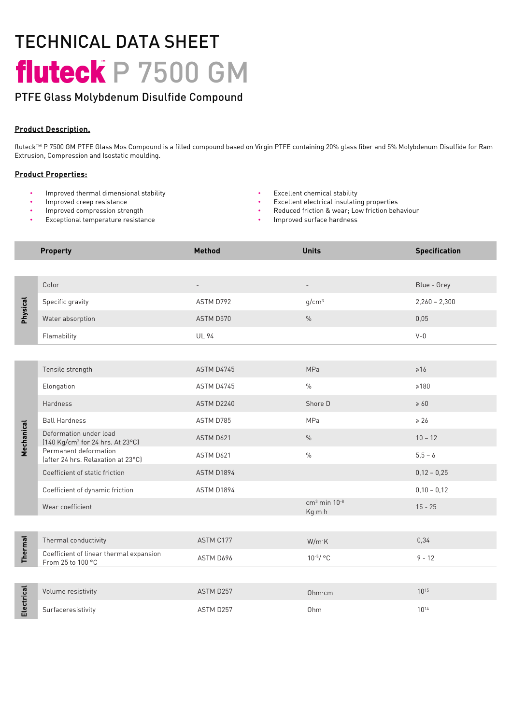# TECHNICAL DATA SHEET fluteck P 7500 GM

# PTFE Glass Molybdenum Disulfide Disulfide Compound

## Product Description.

fluteckTM P 7500 GM PTFE Glass Mos Compound is a filled compound based on Virgin PTFE containing 20% glass fiber and 5% Molybdenum Disulfide for Ram Extrusion, Compression and Isostatic moulding.

#### Product Properties:

- Improved thermal dimensional stability
- Improved creep resistance
- Improved compression strength
- Exceptional temperature resistance
- Excellent chemical stability
- Excellent electrical insulating properties
- Reduced friction & wear; Low friction behaviour
- Improved surface hardness

|                | <b>Property</b>                                                        | Method                   | <b>Units</b>                         | <b>Specification</b> |
|----------------|------------------------------------------------------------------------|--------------------------|--------------------------------------|----------------------|
|                |                                                                        |                          |                                      |                      |
| Physical       | Color                                                                  | $\overline{\phantom{a}}$ | $\blacksquare$                       | Blue - Grey          |
|                | Specific gravity                                                       | ASTM D792                | g/cm <sup>3</sup>                    | $2,260 - 2,300$      |
|                | Water absorption                                                       | ASTM D570                | $\%$                                 | 0,05                 |
|                | Flamability                                                            | <b>UL 94</b>             |                                      | $V - 0$              |
|                |                                                                        |                          |                                      |                      |
| Mechanical     | Tensile strength                                                       | ASTM D4745               | <b>MPa</b>                           | $\geq 16$            |
|                | Elongation                                                             | ASTM D4745               | $\frac{0}{0}$                        | $\ge 180$            |
|                | Hardness                                                               | ASTM D2240               | Shore D                              | $\geq 60$            |
|                | <b>Ball Hardness</b>                                                   | ASTM D785                | MPa                                  | $\ge 26$             |
|                | Deformation under load<br>[140 Kg/cm <sup>2</sup> for 24 hrs. At 23°C] | ASTM D621                | $\%$                                 | $10 - 12$            |
|                | Permanent deformation<br>(after 24 hrs. Relaxation at 23°C)            | ASTM D621                | $\frac{0}{0}$                        | $5,5-6$              |
|                | Coefficient of static friction                                         | ASTM D1894               |                                      | $0,12 - 0,25$        |
|                | Coefficient of dynamic friction                                        | ASTM D1894               |                                      | $0,10 - 0,12$        |
|                | Wear coefficient                                                       |                          | $cm3$ min 10 <sup>-8</sup><br>Kg m h | $15 - 25$            |
|                |                                                                        |                          |                                      |                      |
| <b>Thermal</b> | Thermal conductivity                                                   | ASTM C177                | W/m K                                | 0,34                 |
|                | Coefficient of linear thermal expansion<br>From 25 to 100 °C           | ASTM D696                | $10^{-5}/$ °C                        | $9 - 12$             |
|                |                                                                        |                          |                                      |                      |
| Electrical     | Volume resistivity                                                     | ASTM D257                | Ohm·cm                               | $10^{15}$            |
|                | Surfaceresistivity                                                     | ASTM D257                | Ohm                                  | $10^{14}$            |
|                |                                                                        |                          |                                      |                      |
|                |                                                                        |                          |                                      |                      |
|                |                                                                        |                          |                                      |                      |
|                |                                                                        |                          |                                      |                      |